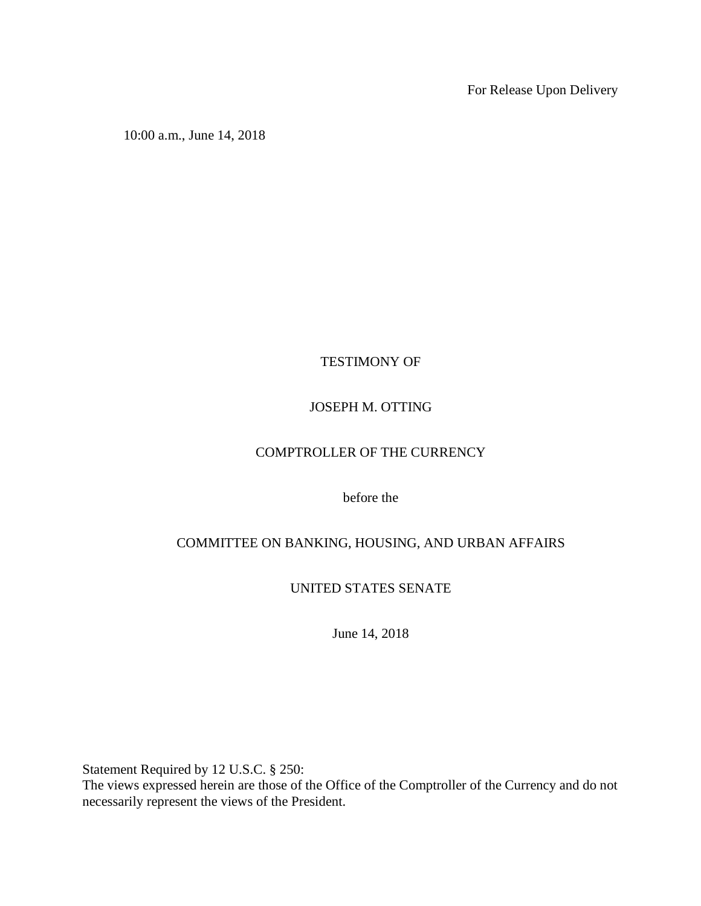For Release Upon Delivery

10:00 a.m., June 14, 2018

TESTIMONY OF

## JOSEPH M. OTTING

# COMPTROLLER OF THE CURRENCY

before the

# COMMITTEE ON BANKING, HOUSING, AND URBAN AFFAIRS

UNITED STATES SENATE

June 14, 2018

Statement Required by 12 U.S.C. § 250:

The views expressed herein are those of the Office of the Comptroller of the Currency and do not necessarily represent the views of the President.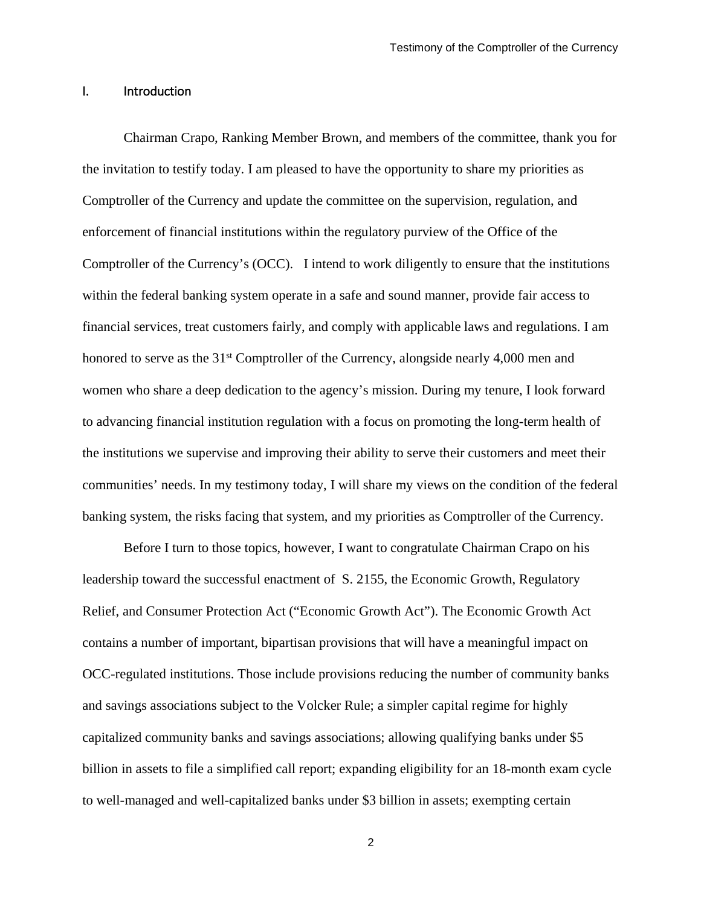#### I. Introduction

Chairman Crapo, Ranking Member Brown, and members of the committee, thank you for the invitation to testify today. I am pleased to have the opportunity to share my priorities as Comptroller of the Currency and update the committee on the supervision, regulation, and enforcement of financial institutions within the regulatory purview of the Office of the Comptroller of the Currency's (OCC). I intend to work diligently to ensure that the institutions within the federal banking system operate in a safe and sound manner, provide fair access to financial services, treat customers fairly, and comply with applicable laws and regulations. I am honored to serve as the 31<sup>st</sup> Comptroller of the Currency, alongside nearly 4,000 men and women who share a deep dedication to the agency's mission. During my tenure, I look forward to advancing financial institution regulation with a focus on promoting the long-term health of the institutions we supervise and improving their ability to serve their customers and meet their communities' needs. In my testimony today, I will share my views on the condition of the federal banking system, the risks facing that system, and my priorities as Comptroller of the Currency.

Before I turn to those topics, however, I want to congratulate Chairman Crapo on his leadership toward the successful enactment of S. 2155, the Economic Growth, Regulatory Relief, and Consumer Protection Act ("Economic Growth Act"). The Economic Growth Act contains a number of important, bipartisan provisions that will have a meaningful impact on OCC-regulated institutions. Those include provisions reducing the number of community banks and savings associations subject to the Volcker Rule; a simpler capital regime for highly capitalized community banks and savings associations; allowing qualifying banks under \$5 billion in assets to file a simplified call report; expanding eligibility for an 18-month exam cycle to well-managed and well-capitalized banks under \$3 billion in assets; exempting certain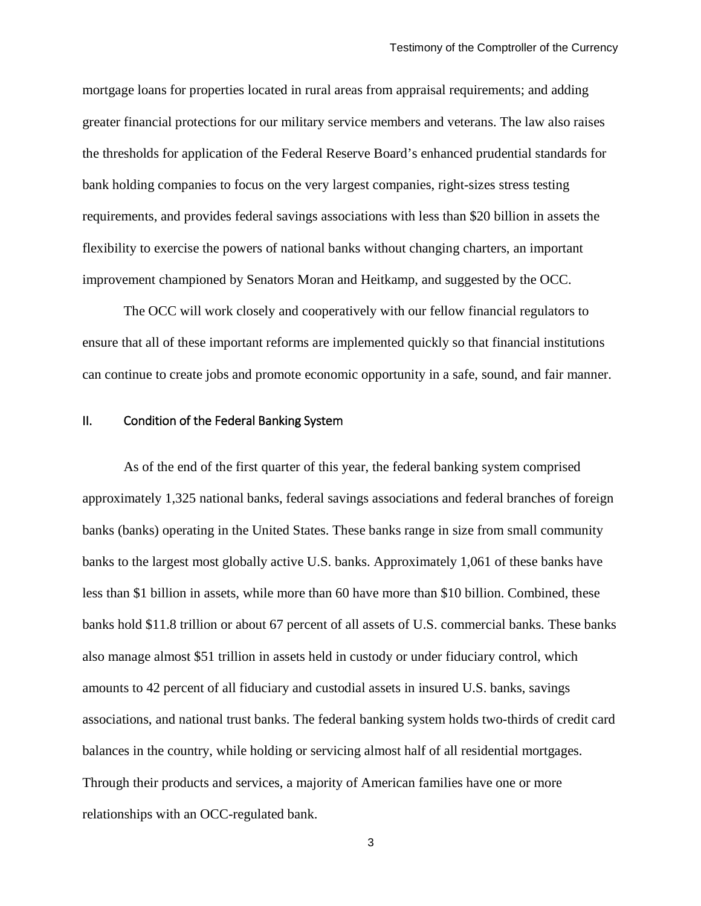mortgage loans for properties located in rural areas from appraisal requirements; and adding greater financial protections for our military service members and veterans. The law also raises the thresholds for application of the Federal Reserve Board's enhanced prudential standards for bank holding companies to focus on the very largest companies, right-sizes stress testing requirements, and provides federal savings associations with less than \$20 billion in assets the flexibility to exercise the powers of national banks without changing charters, an important improvement championed by Senators Moran and Heitkamp, and suggested by the OCC.

The OCC will work closely and cooperatively with our fellow financial regulators to ensure that all of these important reforms are implemented quickly so that financial institutions can continue to create jobs and promote economic opportunity in a safe, sound, and fair manner.

#### II. Condition of the Federal Banking System

As of the end of the first quarter of this year, the federal banking system comprised approximately 1,325 national banks, federal savings associations and federal branches of foreign banks (banks) operating in the United States. These banks range in size from small community banks to the largest most globally active U.S. banks. Approximately 1,061 of these banks have less than \$1 billion in assets, while more than 60 have more than \$10 billion. Combined, these banks hold \$11.8 trillion or about 67 percent of all assets of U.S. commercial banks. These banks also manage almost \$51 trillion in assets held in custody or under fiduciary control, which amounts to 42 percent of all fiduciary and custodial assets in insured U.S. banks, savings associations, and national trust banks. The federal banking system holds two-thirds of credit card balances in the country, while holding or servicing almost half of all residential mortgages. Through their products and services, a majority of American families have one or more relationships with an OCC-regulated bank.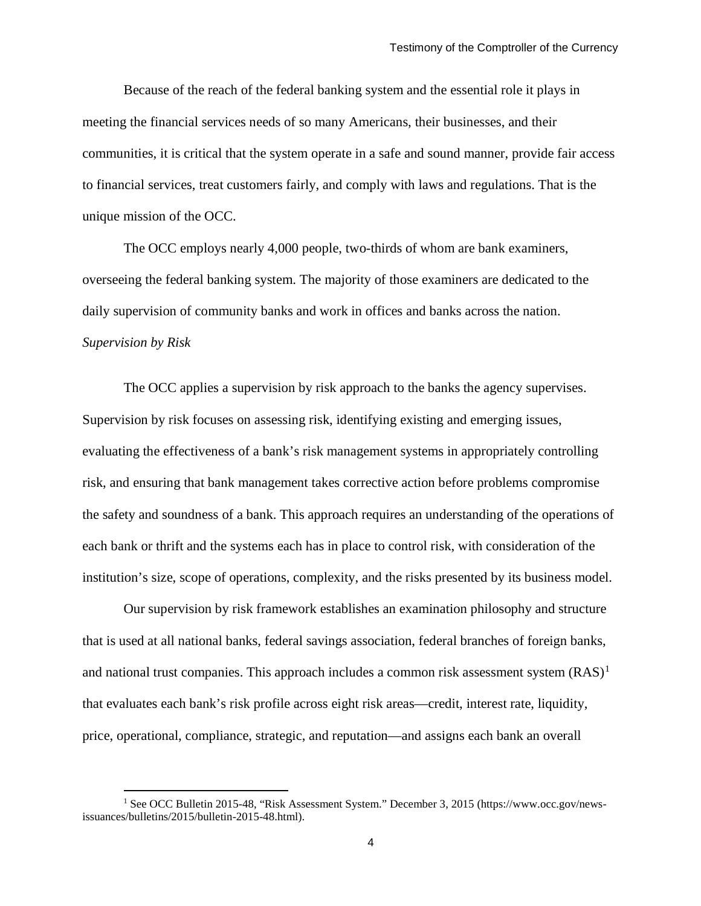Because of the reach of the federal banking system and the essential role it plays in meeting the financial services needs of so many Americans, their businesses, and their communities, it is critical that the system operate in a safe and sound manner, provide fair access to financial services, treat customers fairly, and comply with laws and regulations. That is the unique mission of the OCC.

The OCC employs nearly 4,000 people, two-thirds of whom are bank examiners, overseeing the federal banking system. The majority of those examiners are dedicated to the daily supervision of community banks and work in offices and banks across the nation. *Supervision by Risk*

The OCC applies a supervision by risk approach to the banks the agency supervises. Supervision by risk focuses on assessing risk, identifying existing and emerging issues, evaluating the effectiveness of a bank's risk management systems in appropriately controlling risk, and ensuring that bank management takes corrective action before problems compromise the safety and soundness of a bank. This approach requires an understanding of the operations of each bank or thrift and the systems each has in place to control risk, with consideration of the institution's size, scope of operations, complexity, and the risks presented by its business model.

Our supervision by risk framework establishes an examination philosophy and structure that is used at all national banks, federal savings association, federal branches of foreign banks, and national trust companies. This approach includes a common risk assessment system  $(RAS)^1$  $(RAS)^1$ that evaluates each bank's risk profile across eight risk areas—credit, interest rate, liquidity, price, operational, compliance, strategic, and reputation—and assigns each bank an overall

<span id="page-3-0"></span><sup>&</sup>lt;sup>1</sup> See OCC Bulletin 2015-48, "Risk Assessment System." December 3, 2015 (https://www.occ.gov/newsissuances/bulletins/2015/bulletin-2015-48.html).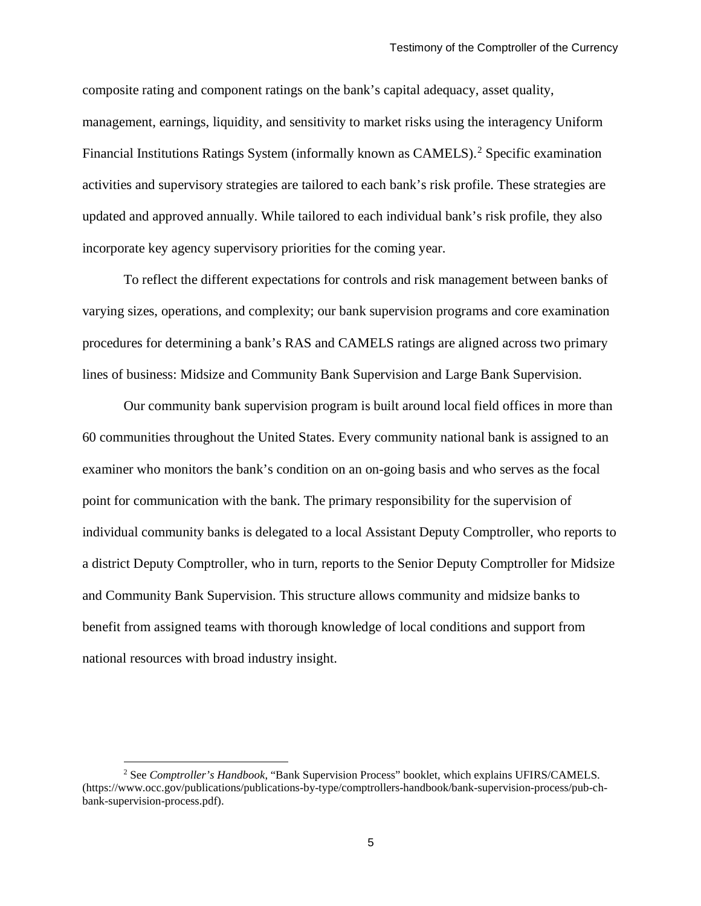composite rating and component ratings on the bank's capital adequacy, asset quality, management, earnings, liquidity, and sensitivity to market risks using the interagency Uniform Financial Institutions Ratings System (informally known as CAMELS).<sup>[2](#page-4-0)</sup> Specific examination activities and supervisory strategies are tailored to each bank's risk profile. These strategies are updated and approved annually. While tailored to each individual bank's risk profile, they also incorporate key agency supervisory priorities for the coming year.

To reflect the different expectations for controls and risk management between banks of varying sizes, operations, and complexity; our bank supervision programs and core examination procedures for determining a bank's RAS and CAMELS ratings are aligned across two primary lines of business: Midsize and Community Bank Supervision and Large Bank Supervision.

Our community bank supervision program is built around local field offices in more than 60 communities throughout the United States. Every community national bank is assigned to an examiner who monitors the bank's condition on an on-going basis and who serves as the focal point for communication with the bank. The primary responsibility for the supervision of individual community banks is delegated to a local Assistant Deputy Comptroller, who reports to a district Deputy Comptroller, who in turn, reports to the Senior Deputy Comptroller for Midsize and Community Bank Supervision. This structure allows community and midsize banks to benefit from assigned teams with thorough knowledge of local conditions and support from national resources with broad industry insight.

<span id="page-4-0"></span> <sup>2</sup> See *Comptroller's Handbook*, "Bank Supervision Process" booklet, which explains UFIRS/CAMELS. (https://www.occ.gov/publications/publications-by-type/comptrollers-handbook/bank-supervision-process/pub-chbank-supervision-process.pdf).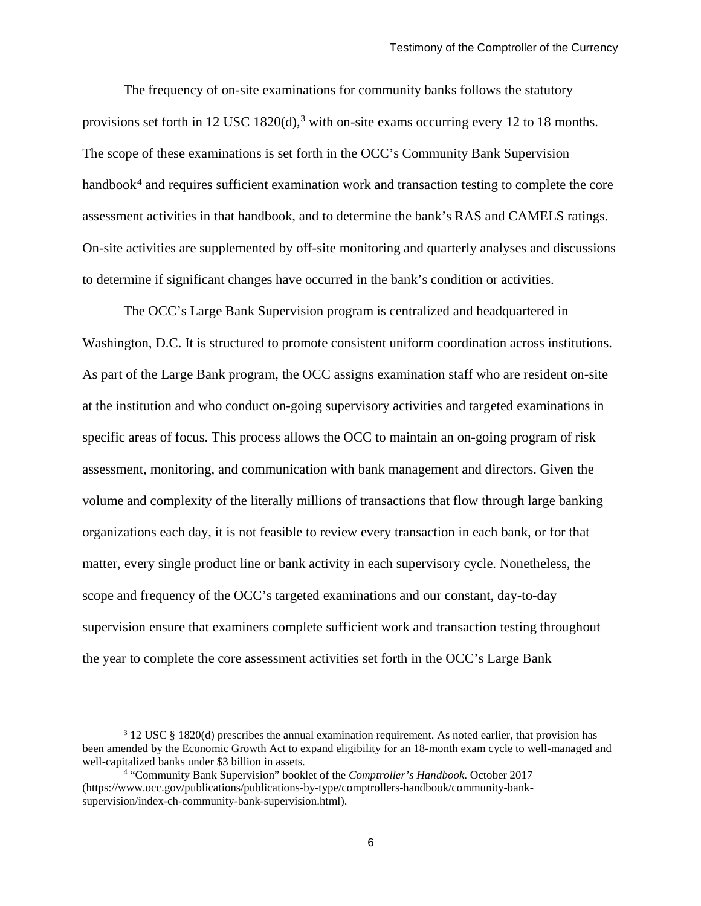The frequency of on-site examinations for community banks follows the statutory provisions set forth in 12 USC 1820(d),<sup>[3](#page-5-0)</sup> with on-site exams occurring every 12 to 18 months. The scope of these examinations is set forth in the OCC's Community Bank Supervision handbook<sup>[4](#page-5-1)</sup> and requires sufficient examination work and transaction testing to complete the core assessment activities in that handbook, and to determine the bank's RAS and CAMELS ratings. On-site activities are supplemented by off-site monitoring and quarterly analyses and discussions to determine if significant changes have occurred in the bank's condition or activities.

The OCC's Large Bank Supervision program is centralized and headquartered in Washington, D.C. It is structured to promote consistent uniform coordination across institutions. As part of the Large Bank program, the OCC assigns examination staff who are resident on-site at the institution and who conduct on-going supervisory activities and targeted examinations in specific areas of focus. This process allows the OCC to maintain an on-going program of risk assessment, monitoring, and communication with bank management and directors. Given the volume and complexity of the literally millions of transactions that flow through large banking organizations each day, it is not feasible to review every transaction in each bank, or for that matter, every single product line or bank activity in each supervisory cycle. Nonetheless, the scope and frequency of the OCC's targeted examinations and our constant, day-to-day supervision ensure that examiners complete sufficient work and transaction testing throughout the year to complete the core assessment activities set forth in the OCC's Large Bank

<span id="page-5-0"></span> <sup>3</sup> 12 USC § 1820(d) prescribes the annual examination requirement. As noted earlier, that provision has been amended by the Economic Growth Act to expand eligibility for an 18-month exam cycle to well-managed and well-capitalized banks under \$3 billion in assets.

<span id="page-5-1"></span><sup>4</sup> "Community Bank Supervision" booklet of the *Comptroller's Handbook*. October 2017 (https://www.occ.gov/publications/publications-by-type/comptrollers-handbook/community-banksupervision/index-ch-community-bank-supervision.html).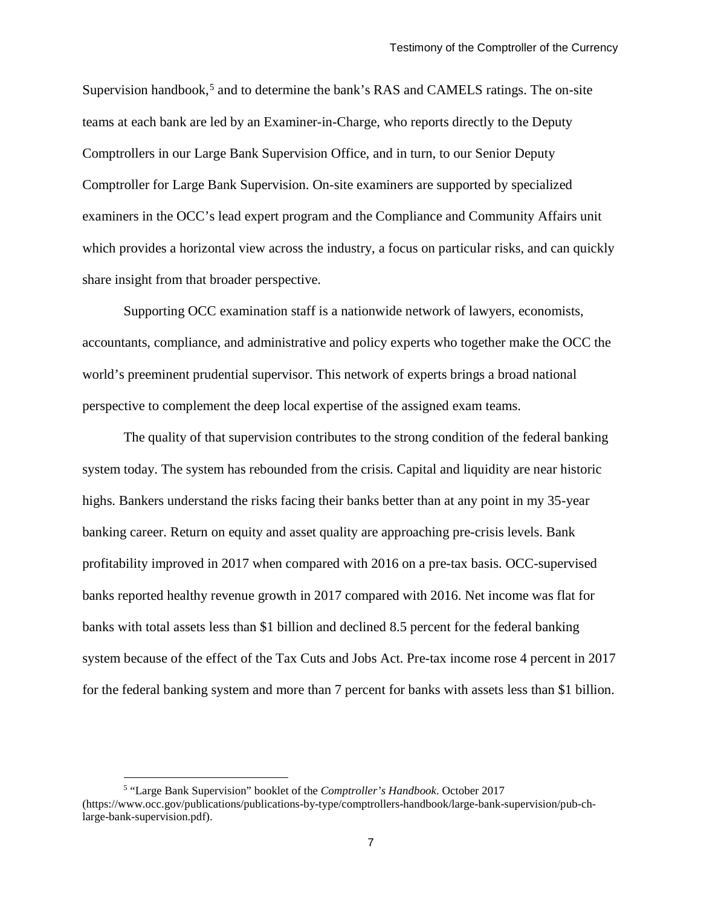Supervision handbook,<sup>[5](#page-6-0)</sup> and to determine the bank's RAS and CAMELS ratings. The on-site teams at each bank are led by an Examiner-in-Charge, who reports directly to the Deputy Comptrollers in our Large Bank Supervision Office, and in turn, to our Senior Deputy Comptroller for Large Bank Supervision. On-site examiners are supported by specialized examiners in the OCC's lead expert program and the Compliance and Community Affairs unit which provides a horizontal view across the industry, a focus on particular risks, and can quickly share insight from that broader perspective.

Supporting OCC examination staff is a nationwide network of lawyers, economists, accountants, compliance, and administrative and policy experts who together make the OCC the world's preeminent prudential supervisor. This network of experts brings a broad national perspective to complement the deep local expertise of the assigned exam teams.

The quality of that supervision contributes to the strong condition of the federal banking system today. The system has rebounded from the crisis. Capital and liquidity are near historic highs. Bankers understand the risks facing their banks better than at any point in my 35-year banking career. Return on equity and asset quality are approaching pre-crisis levels. Bank profitability improved in 2017 when compared with 2016 on a pre-tax basis. OCC-supervised banks reported healthy revenue growth in 2017 compared with 2016. Net income was flat for banks with total assets less than \$1 billion and declined 8.5 percent for the federal banking system because of the effect of the Tax Cuts and Jobs Act. Pre-tax income rose 4 percent in 2017 for the federal banking system and more than 7 percent for banks with assets less than \$1 billion.

<span id="page-6-0"></span> <sup>5</sup> "Large Bank Supervision" booklet of the *Comptroller's Handbook*. October 2017 (https://www.occ.gov/publications/publications-by-type/comptrollers-handbook/large-bank-supervision/pub-chlarge-bank-supervision.pdf).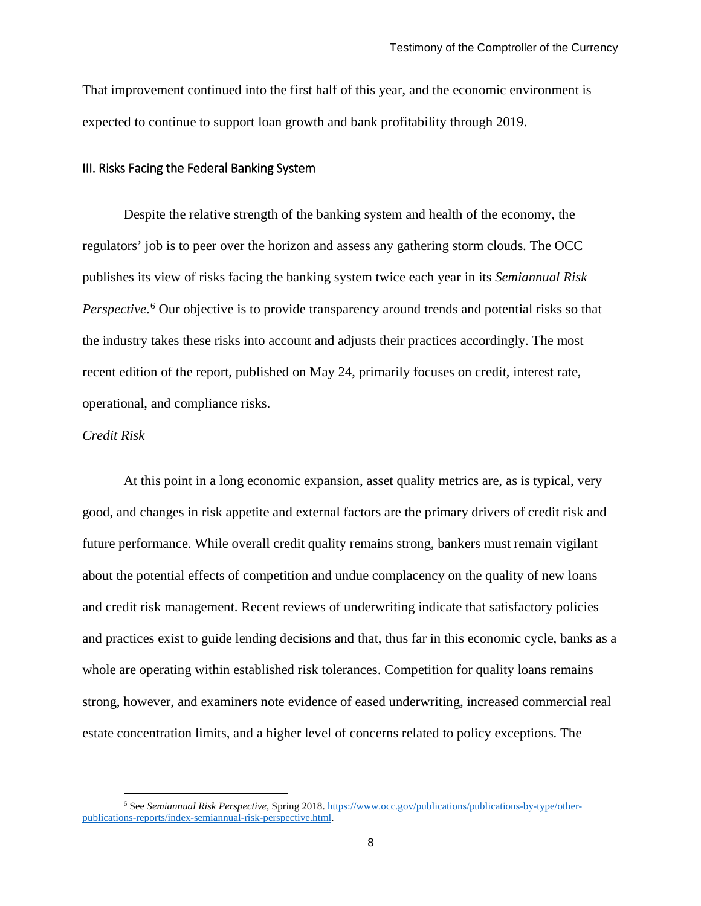That improvement continued into the first half of this year, and the economic environment is expected to continue to support loan growth and bank profitability through 2019.

#### III. Risks Facing the Federal Banking System

Despite the relative strength of the banking system and health of the economy, the regulators' job is to peer over the horizon and assess any gathering storm clouds. The OCC publishes its view of risks facing the banking system twice each year in its *Semiannual Risk Perspective*. [6](#page-7-0) Our objective is to provide transparency around trends and potential risks so that the industry takes these risks into account and adjusts their practices accordingly. The most recent edition of the report, published on May 24, primarily focuses on credit, interest rate, operational, and compliance risks.

#### *Credit Risk*

At this point in a long economic expansion, asset quality metrics are, as is typical, very good, and changes in risk appetite and external factors are the primary drivers of credit risk and future performance. While overall credit quality remains strong, bankers must remain vigilant about the potential effects of competition and undue complacency on the quality of new loans and credit risk management. Recent reviews of underwriting indicate that satisfactory policies and practices exist to guide lending decisions and that, thus far in this economic cycle, banks as a whole are operating within established risk tolerances. Competition for quality loans remains strong, however, and examiners note evidence of eased underwriting, increased commercial real estate concentration limits, and a higher level of concerns related to policy exceptions. The

<span id="page-7-0"></span> <sup>6</sup> See *Semiannual Risk Perspective*, Spring 2018[. https://www.occ.gov/publications/publications-by-type/other](https://www.occ.gov/publications/publications-by-type/other-publications-reports/index-semiannual-risk-perspective.html)[publications-reports/index-semiannual-risk-perspective.html.](https://www.occ.gov/publications/publications-by-type/other-publications-reports/index-semiannual-risk-perspective.html)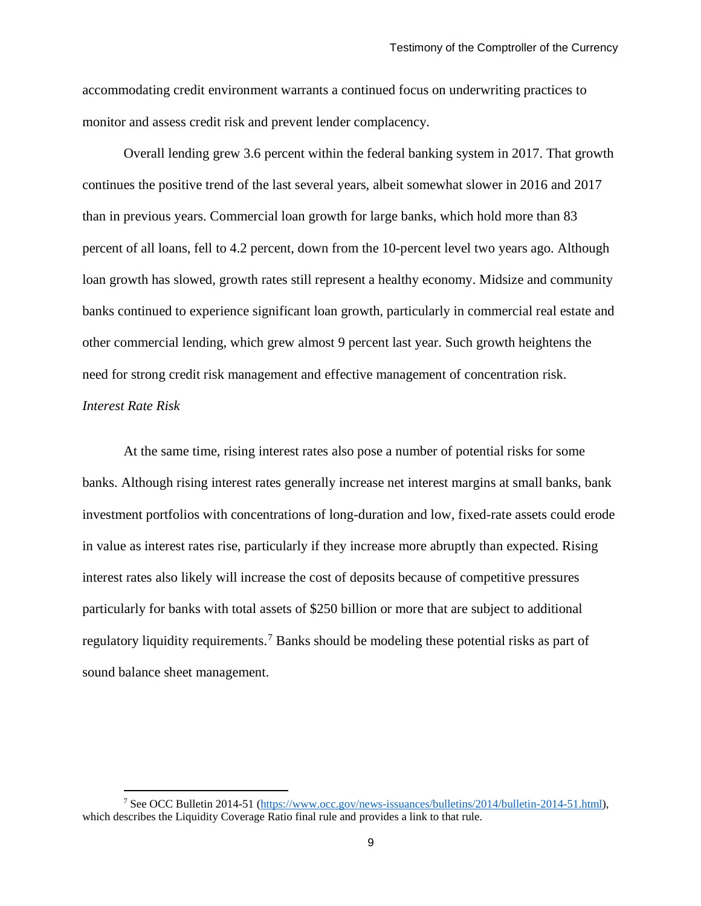accommodating credit environment warrants a continued focus on underwriting practices to monitor and assess credit risk and prevent lender complacency.

Overall lending grew 3.6 percent within the federal banking system in 2017. That growth continues the positive trend of the last several years, albeit somewhat slower in 2016 and 2017 than in previous years. Commercial loan growth for large banks, which hold more than 83 percent of all loans, fell to 4.2 percent, down from the 10-percent level two years ago. Although loan growth has slowed, growth rates still represent a healthy economy. Midsize and community banks continued to experience significant loan growth, particularly in commercial real estate and other commercial lending, which grew almost 9 percent last year. Such growth heightens the need for strong credit risk management and effective management of concentration risk. *Interest Rate Risk*

At the same time, rising interest rates also pose a number of potential risks for some banks. Although rising interest rates generally increase net interest margins at small banks, bank investment portfolios with concentrations of long-duration and low, fixed-rate assets could erode in value as interest rates rise, particularly if they increase more abruptly than expected. Rising interest rates also likely will increase the cost of deposits because of competitive pressures particularly for banks with total assets of \$250 billion or more that are subject to additional regulatory liquidity requirements.<sup>[7](#page-8-0)</sup> Banks should be modeling these potential risks as part of sound balance sheet management.

<span id="page-8-0"></span> <sup>7</sup> See OCC Bulletin 2014-51 [\(https://www.occ.gov/news-issuances/bulletins/2014/bulletin-2014-51.html\)](https://www.occ.gov/news-issuances/bulletins/2014/bulletin-2014-51.html), which describes the Liquidity Coverage Ratio final rule and provides a link to that rule.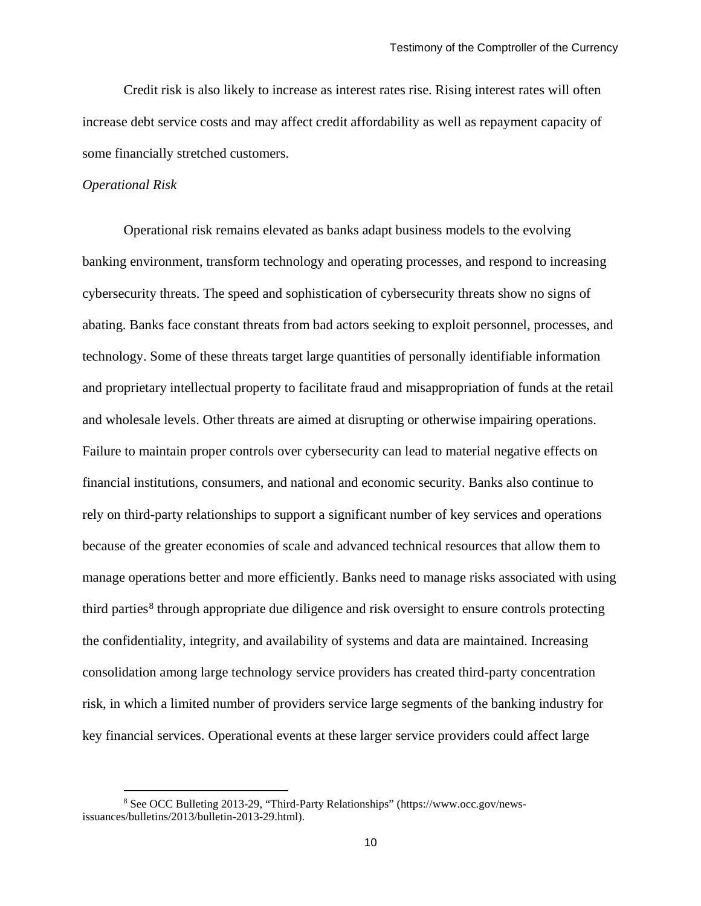Credit risk is also likely to increase as interest rates rise. Rising interest rates will often increase debt service costs and may affect credit affordability as well as repayment capacity of some financially stretched customers.

#### *Operational Risk*

Operational risk remains elevated as banks adapt business models to the evolving banking environment, transform technology and operating processes, and respond to increasing cybersecurity threats. The speed and sophistication of cybersecurity threats show no signs of abating. Banks face constant threats from bad actors seeking to exploit personnel, processes, and technology. Some of these threats target large quantities of personally identifiable information and proprietary intellectual property to facilitate fraud and misappropriation of funds at the retail and wholesale levels. Other threats are aimed at disrupting or otherwise impairing operations. Failure to maintain proper controls over cybersecurity can lead to material negative effects on financial institutions, consumers, and national and economic security. Banks also continue to rely on third-party relationships to support a significant number of key services and operations because of the greater economies of scale and advanced technical resources that allow them to manage operations better and more efficiently. Banks need to manage risks associated with using third parties<sup>[8](#page-9-0)</sup> through appropriate due diligence and risk oversight to ensure controls protecting the confidentiality, integrity, and availability of systems and data are maintained. Increasing consolidation among large technology service providers has created third-party concentration risk, in which a limited number of providers service large segments of the banking industry for key financial services. Operational events at these larger service providers could affect large

<span id="page-9-0"></span> <sup>8</sup> See OCC Bulleting 2013-29, "Third-Party Relationships" (https://www.occ.gov/newsissuances/bulletins/2013/bulletin-2013-29.html).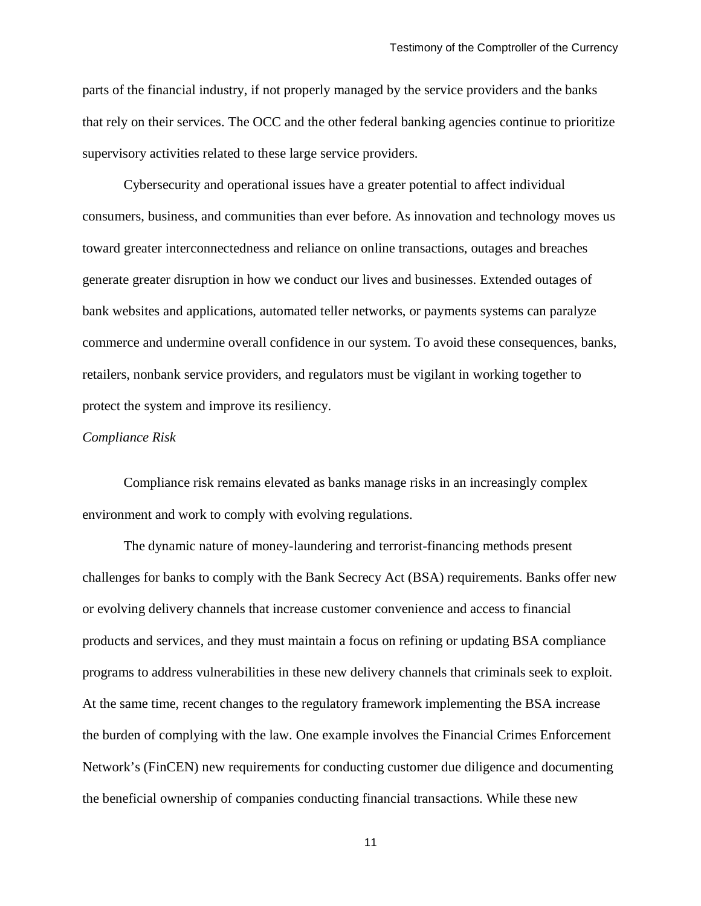parts of the financial industry, if not properly managed by the service providers and the banks that rely on their services. The OCC and the other federal banking agencies continue to prioritize supervisory activities related to these large service providers.

Cybersecurity and operational issues have a greater potential to affect individual consumers, business, and communities than ever before. As innovation and technology moves us toward greater interconnectedness and reliance on online transactions, outages and breaches generate greater disruption in how we conduct our lives and businesses. Extended outages of bank websites and applications, automated teller networks, or payments systems can paralyze commerce and undermine overall confidence in our system. To avoid these consequences, banks, retailers, nonbank service providers, and regulators must be vigilant in working together to protect the system and improve its resiliency.

#### *Compliance Risk*

Compliance risk remains elevated as banks manage risks in an increasingly complex environment and work to comply with evolving regulations.

The dynamic nature of money-laundering and terrorist-financing methods present challenges for banks to comply with the Bank Secrecy Act (BSA) requirements. Banks offer new or evolving delivery channels that increase customer convenience and access to financial products and services, and they must maintain a focus on refining or updating BSA compliance programs to address vulnerabilities in these new delivery channels that criminals seek to exploit. At the same time, recent changes to the regulatory framework implementing the BSA increase the burden of complying with the law. One example involves the Financial Crimes Enforcement Network's (FinCEN) new requirements for conducting customer due diligence and documenting the beneficial ownership of companies conducting financial transactions. While these new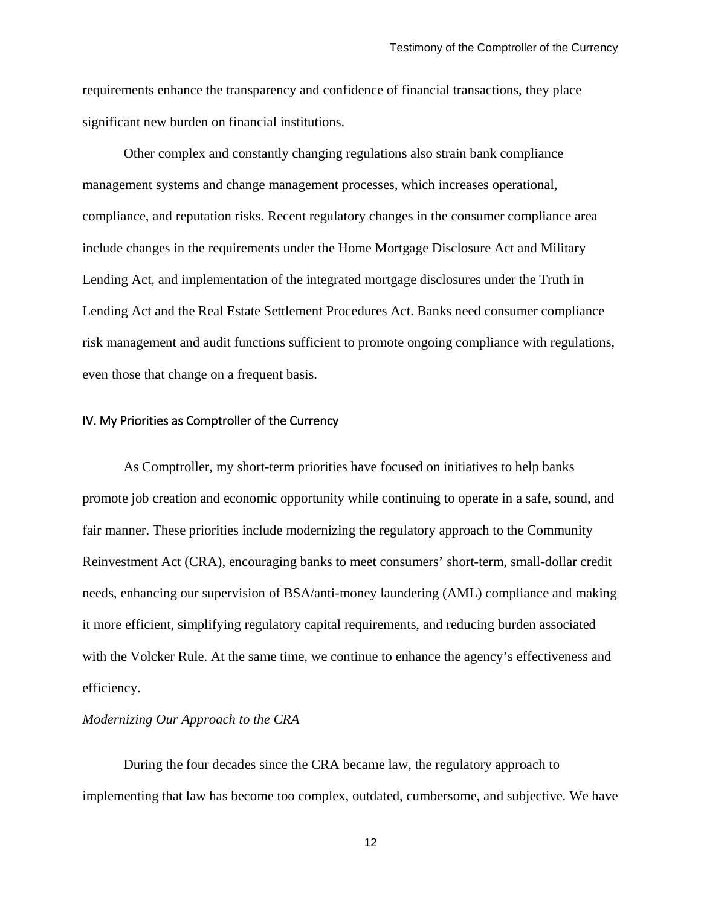requirements enhance the transparency and confidence of financial transactions, they place significant new burden on financial institutions.

Other complex and constantly changing regulations also strain bank compliance management systems and change management processes, which increases operational, compliance, and reputation risks. Recent regulatory changes in the consumer compliance area include changes in the requirements under the Home Mortgage Disclosure Act and Military Lending Act, and implementation of the integrated mortgage disclosures under the Truth in Lending Act and the Real Estate Settlement Procedures Act. Banks need consumer compliance risk management and audit functions sufficient to promote ongoing compliance with regulations, even those that change on a frequent basis.

#### IV. My Priorities as Comptroller of the Currency

As Comptroller, my short-term priorities have focused on initiatives to help banks promote job creation and economic opportunity while continuing to operate in a safe, sound, and fair manner. These priorities include modernizing the regulatory approach to the Community Reinvestment Act (CRA), encouraging banks to meet consumers' short-term, small-dollar credit needs, enhancing our supervision of BSA/anti-money laundering (AML) compliance and making it more efficient, simplifying regulatory capital requirements, and reducing burden associated with the Volcker Rule. At the same time, we continue to enhance the agency's effectiveness and efficiency.

## *Modernizing Our Approach to the CRA*

During the four decades since the CRA became law, the regulatory approach to implementing that law has become too complex, outdated, cumbersome, and subjective. We have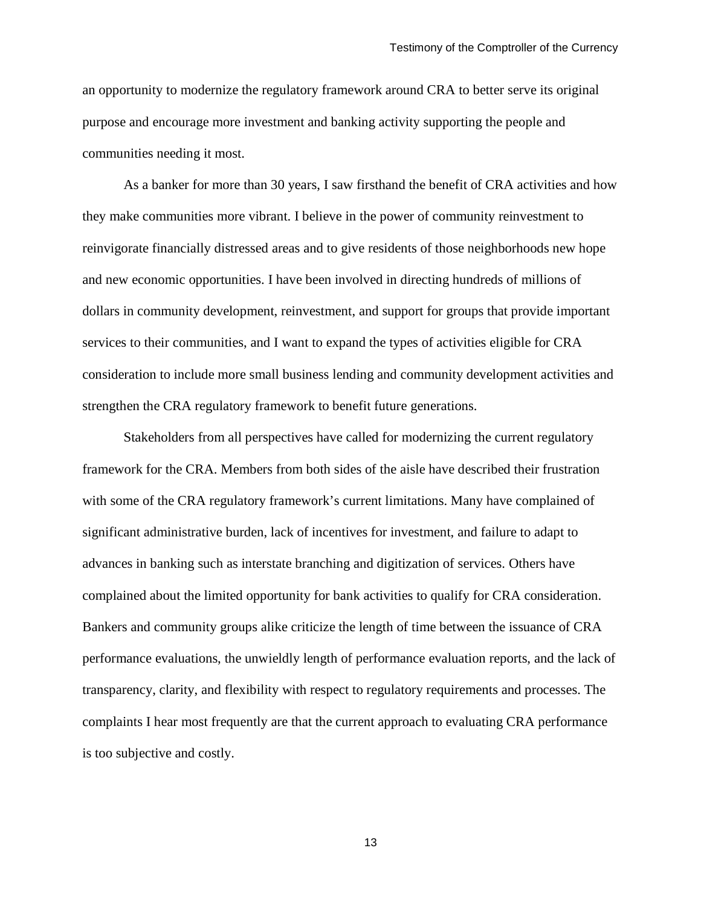an opportunity to modernize the regulatory framework around CRA to better serve its original purpose and encourage more investment and banking activity supporting the people and communities needing it most.

As a banker for more than 30 years, I saw firsthand the benefit of CRA activities and how they make communities more vibrant. I believe in the power of community reinvestment to reinvigorate financially distressed areas and to give residents of those neighborhoods new hope and new economic opportunities. I have been involved in directing hundreds of millions of dollars in community development, reinvestment, and support for groups that provide important services to their communities, and I want to expand the types of activities eligible for CRA consideration to include more small business lending and community development activities and strengthen the CRA regulatory framework to benefit future generations.

Stakeholders from all perspectives have called for modernizing the current regulatory framework for the CRA. Members from both sides of the aisle have described their frustration with some of the CRA regulatory framework's current limitations. Many have complained of significant administrative burden, lack of incentives for investment, and failure to adapt to advances in banking such as interstate branching and digitization of services. Others have complained about the limited opportunity for bank activities to qualify for CRA consideration. Bankers and community groups alike criticize the length of time between the issuance of CRA performance evaluations, the unwieldly length of performance evaluation reports, and the lack of transparency, clarity, and flexibility with respect to regulatory requirements and processes. The complaints I hear most frequently are that the current approach to evaluating CRA performance is too subjective and costly.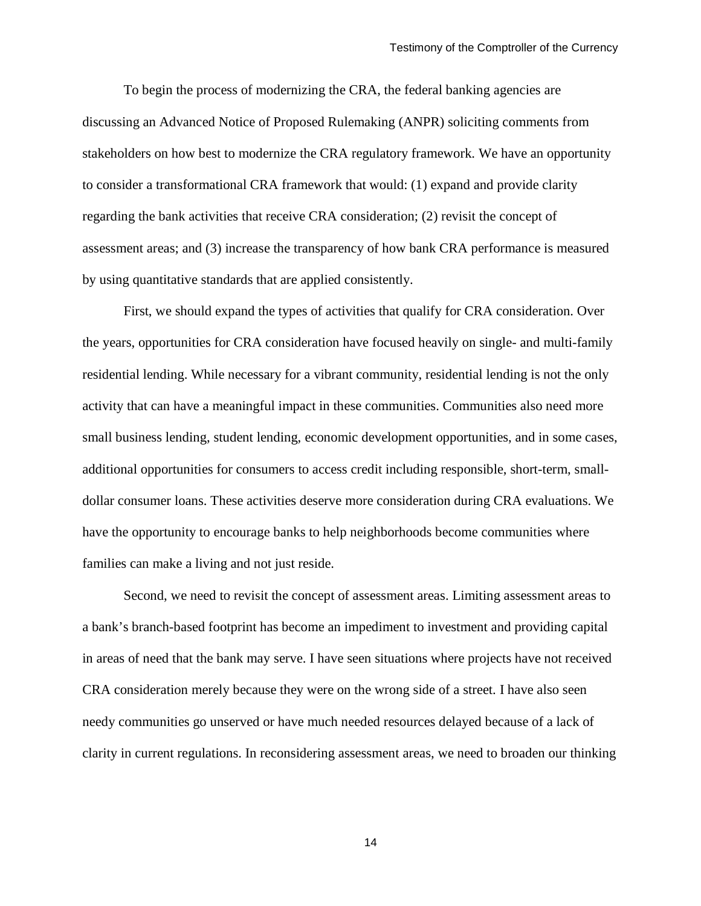To begin the process of modernizing the CRA, the federal banking agencies are discussing an Advanced Notice of Proposed Rulemaking (ANPR) soliciting comments from stakeholders on how best to modernize the CRA regulatory framework. We have an opportunity to consider a transformational CRA framework that would: (1) expand and provide clarity regarding the bank activities that receive CRA consideration; (2) revisit the concept of assessment areas; and (3) increase the transparency of how bank CRA performance is measured by using quantitative standards that are applied consistently.

First, we should expand the types of activities that qualify for CRA consideration. Over the years, opportunities for CRA consideration have focused heavily on single- and multi-family residential lending. While necessary for a vibrant community, residential lending is not the only activity that can have a meaningful impact in these communities. Communities also need more small business lending, student lending, economic development opportunities, and in some cases, additional opportunities for consumers to access credit including responsible, short-term, smalldollar consumer loans. These activities deserve more consideration during CRA evaluations. We have the opportunity to encourage banks to help neighborhoods become communities where families can make a living and not just reside.

Second, we need to revisit the concept of assessment areas. Limiting assessment areas to a bank's branch-based footprint has become an impediment to investment and providing capital in areas of need that the bank may serve. I have seen situations where projects have not received CRA consideration merely because they were on the wrong side of a street. I have also seen needy communities go unserved or have much needed resources delayed because of a lack of clarity in current regulations. In reconsidering assessment areas, we need to broaden our thinking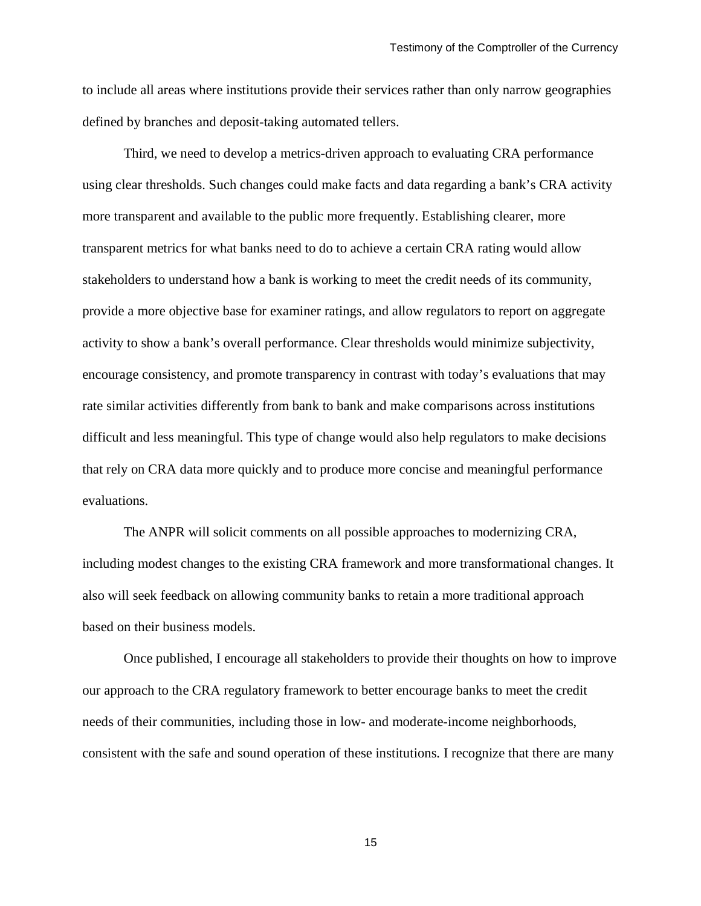to include all areas where institutions provide their services rather than only narrow geographies defined by branches and deposit-taking automated tellers.

Third, we need to develop a metrics-driven approach to evaluating CRA performance using clear thresholds. Such changes could make facts and data regarding a bank's CRA activity more transparent and available to the public more frequently. Establishing clearer, more transparent metrics for what banks need to do to achieve a certain CRA rating would allow stakeholders to understand how a bank is working to meet the credit needs of its community, provide a more objective base for examiner ratings, and allow regulators to report on aggregate activity to show a bank's overall performance. Clear thresholds would minimize subjectivity, encourage consistency, and promote transparency in contrast with today's evaluations that may rate similar activities differently from bank to bank and make comparisons across institutions difficult and less meaningful. This type of change would also help regulators to make decisions that rely on CRA data more quickly and to produce more concise and meaningful performance evaluations.

The ANPR will solicit comments on all possible approaches to modernizing CRA, including modest changes to the existing CRA framework and more transformational changes. It also will seek feedback on allowing community banks to retain a more traditional approach based on their business models.

Once published, I encourage all stakeholders to provide their thoughts on how to improve our approach to the CRA regulatory framework to better encourage banks to meet the credit needs of their communities, including those in low- and moderate-income neighborhoods, consistent with the safe and sound operation of these institutions. I recognize that there are many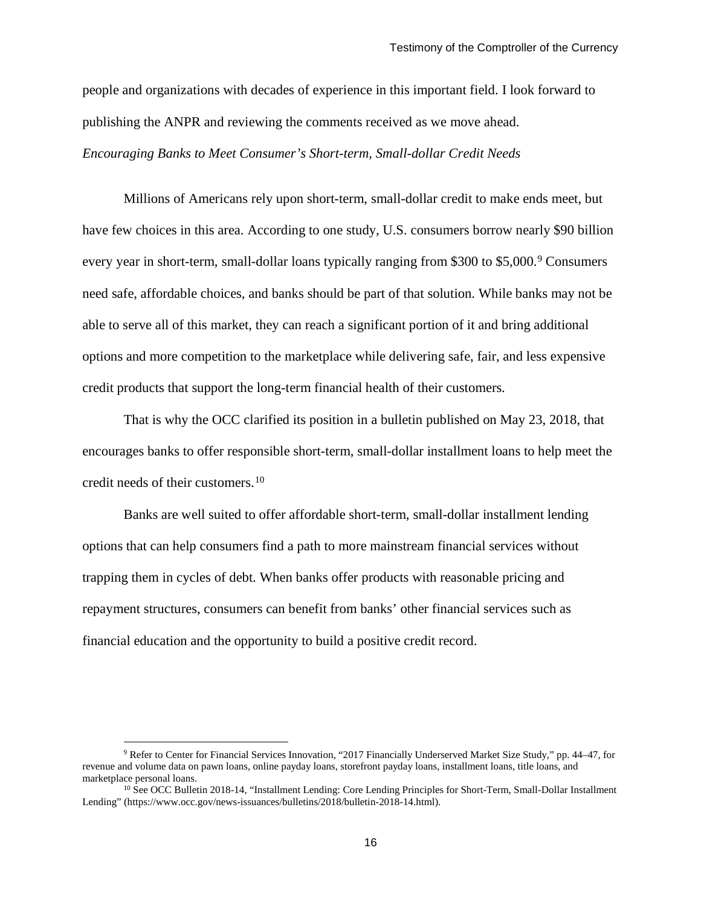people and organizations with decades of experience in this important field. I look forward to publishing the ANPR and reviewing the comments received as we move ahead. *Encouraging Banks to Meet Consumer's Short-term, Small-dollar Credit Needs*

Millions of Americans rely upon short-term, small-dollar credit to make ends meet, but have few choices in this area. According to one study, U.S. consumers borrow nearly \$90 billion every year in short-term, small-dollar loans typically ranging from \$300 to \$5,000.<sup>[9](#page-15-0)</sup> Consumers need safe, affordable choices, and banks should be part of that solution. While banks may not be able to serve all of this market, they can reach a significant portion of it and bring additional options and more competition to the marketplace while delivering safe, fair, and less expensive credit products that support the long-term financial health of their customers.

That is why the OCC clarified its position in a bulletin published on May 23, 2018, that encourages banks to offer responsible short-term, small-dollar installment loans to help meet the credit needs of their customers.[10](#page-15-1)

Banks are well suited to offer affordable short-term, small-dollar installment lending options that can help consumers find a path to more mainstream financial services without trapping them in cycles of debt. When banks offer products with reasonable pricing and repayment structures, consumers can benefit from banks' other financial services such as financial education and the opportunity to build a positive credit record.

<span id="page-15-0"></span> <sup>9</sup> Refer to Center for Financial Services Innovation, "2017 Financially Underserved Market Size Study," pp. 44–47, for revenue and volume data on pawn loans, online payday loans, storefront payday loans, installment loans, title loans, and marketplace personal loans.

<span id="page-15-1"></span><sup>10</sup> See OCC Bulletin 2018-14, "Installment Lending: Core Lending Principles for Short-Term, Small-Dollar Installment Lending" (https://www.occ.gov/news-issuances/bulletins/2018/bulletin-2018-14.html).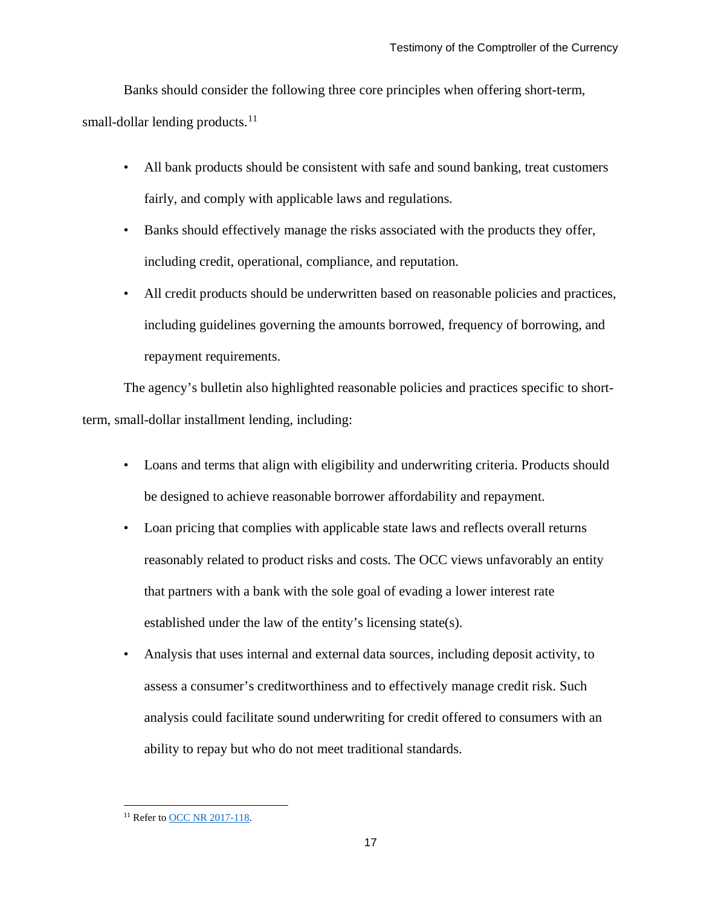Banks should consider the following three core principles when offering short-term, small-dollar lending products.<sup>[11](#page-16-0)</sup>

- All bank products should be consistent with safe and sound banking, treat customers fairly, and comply with applicable laws and regulations.
- Banks should effectively manage the risks associated with the products they offer, including credit, operational, compliance, and reputation.
- All credit products should be underwritten based on reasonable policies and practices, including guidelines governing the amounts borrowed, frequency of borrowing, and repayment requirements.

The agency's bulletin also highlighted reasonable policies and practices specific to shortterm, small-dollar installment lending, including:

- Loans and terms that align with eligibility and underwriting criteria. Products should be designed to achieve reasonable borrower affordability and repayment.
- Loan pricing that complies with applicable state laws and reflects overall returns reasonably related to product risks and costs. The OCC views unfavorably an entity that partners with a bank with the sole goal of evading a lower interest rate established under the law of the entity's licensing state(s).
- Analysis that uses internal and external data sources, including deposit activity, to assess a consumer's creditworthiness and to effectively manage credit risk. Such analysis could facilitate sound underwriting for credit offered to consumers with an ability to repay but who do not meet traditional standards.

<span id="page-16-0"></span><sup>&</sup>lt;sup>11</sup> Refer t[o OCC NR 2017-118.](https://www.occ.gov/news-issuances/news-releases/2017/nr-occ-2017-118.html)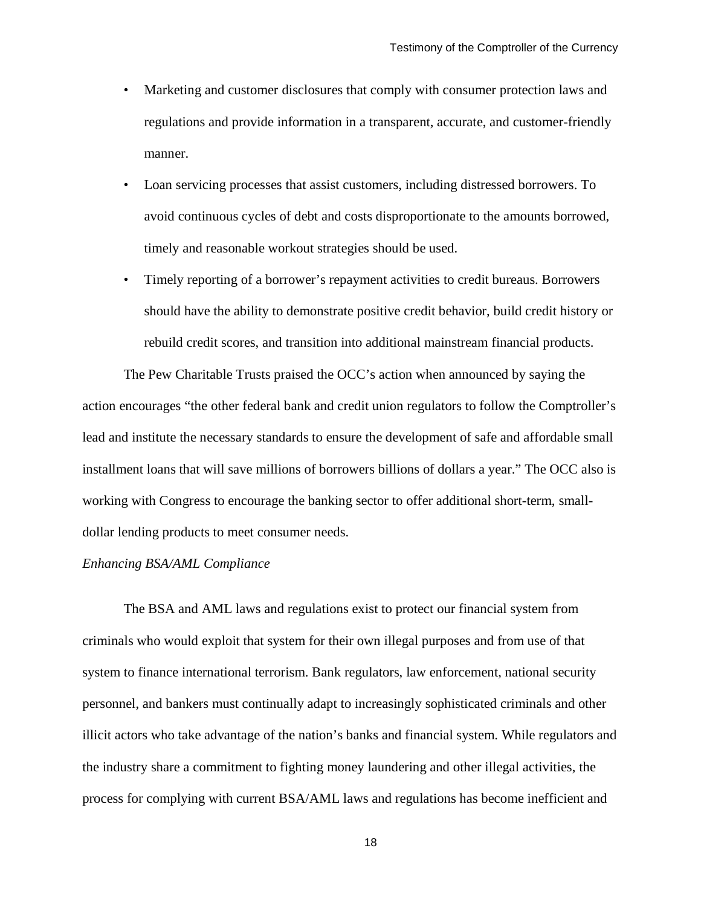- Marketing and customer disclosures that comply with consumer protection laws and regulations and provide information in a transparent, accurate, and customer-friendly manner.
- Loan servicing processes that assist customers, including distressed borrowers. To avoid continuous cycles of debt and costs disproportionate to the amounts borrowed, timely and reasonable workout strategies should be used.
- Timely reporting of a borrower's repayment activities to credit bureaus. Borrowers should have the ability to demonstrate positive credit behavior, build credit history or rebuild credit scores, and transition into additional mainstream financial products.

The Pew Charitable Trusts praised the OCC's action when announced by saying the action encourages "the other federal bank and credit union regulators to follow the Comptroller's lead and institute the necessary standards to ensure the development of safe and affordable small installment loans that will save millions of borrowers billions of dollars a year." The OCC also is working with Congress to encourage the banking sector to offer additional short-term, smalldollar lending products to meet consumer needs.

#### *Enhancing BSA/AML Compliance*

The BSA and AML laws and regulations exist to protect our financial system from criminals who would exploit that system for their own illegal purposes and from use of that system to finance international terrorism. Bank regulators, law enforcement, national security personnel, and bankers must continually adapt to increasingly sophisticated criminals and other illicit actors who take advantage of the nation's banks and financial system. While regulators and the industry share a commitment to fighting money laundering and other illegal activities, the process for complying with current BSA/AML laws and regulations has become inefficient and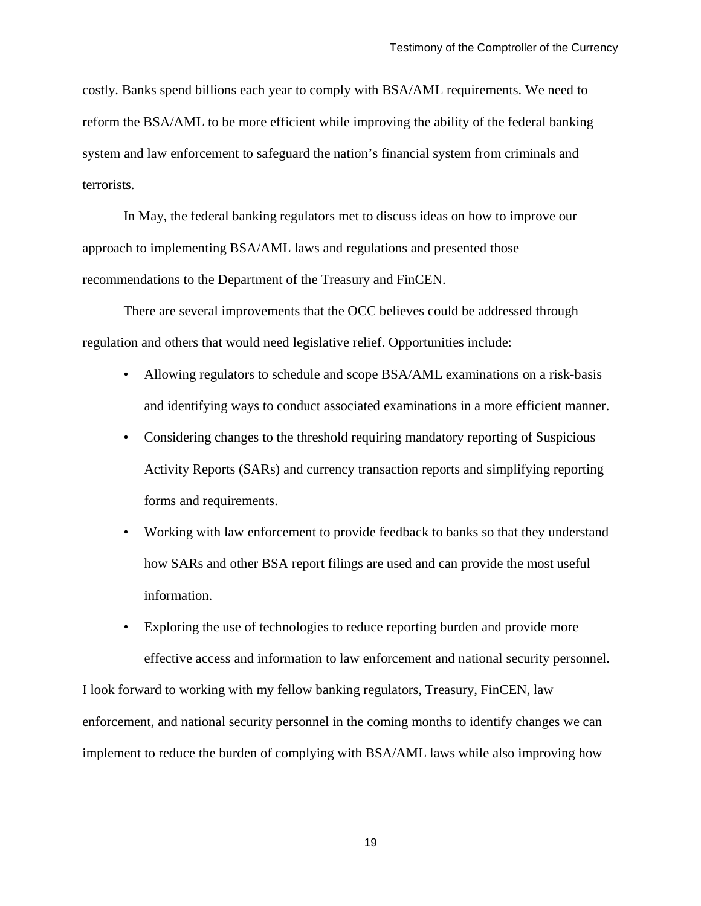costly. Banks spend billions each year to comply with BSA/AML requirements. We need to reform the BSA/AML to be more efficient while improving the ability of the federal banking system and law enforcement to safeguard the nation's financial system from criminals and terrorists.

In May, the federal banking regulators met to discuss ideas on how to improve our approach to implementing BSA/AML laws and regulations and presented those recommendations to the Department of the Treasury and FinCEN.

There are several improvements that the OCC believes could be addressed through regulation and others that would need legislative relief. Opportunities include:

- Allowing regulators to schedule and scope BSA/AML examinations on a risk-basis and identifying ways to conduct associated examinations in a more efficient manner.
- Considering changes to the threshold requiring mandatory reporting of Suspicious Activity Reports (SARs) and currency transaction reports and simplifying reporting forms and requirements.
- Working with law enforcement to provide feedback to banks so that they understand how SARs and other BSA report filings are used and can provide the most useful information.
- Exploring the use of technologies to reduce reporting burden and provide more effective access and information to law enforcement and national security personnel.

I look forward to working with my fellow banking regulators, Treasury, FinCEN, law enforcement, and national security personnel in the coming months to identify changes we can implement to reduce the burden of complying with BSA/AML laws while also improving how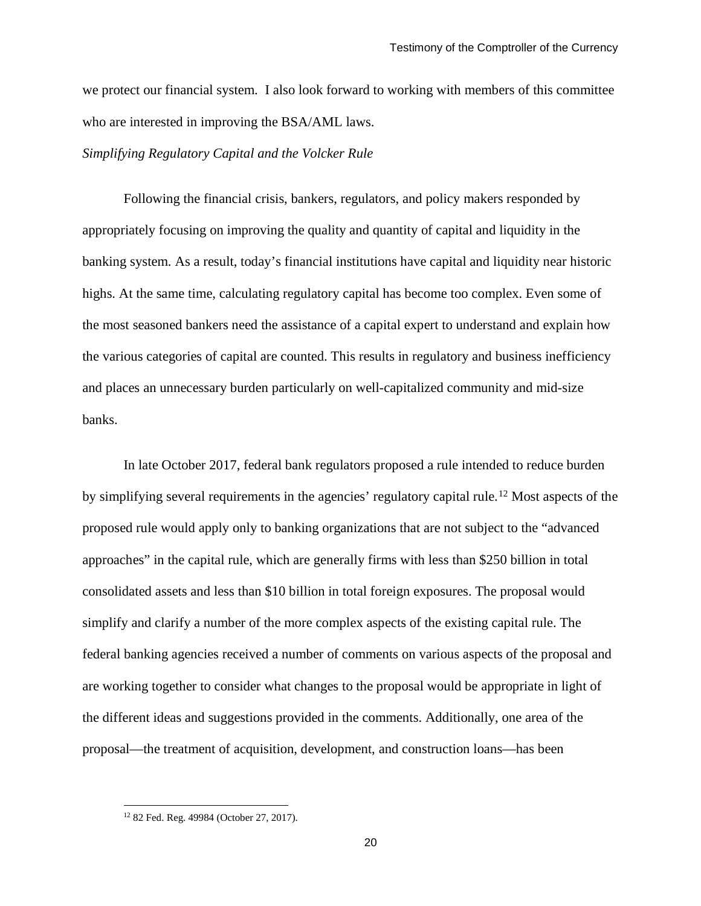we protect our financial system. I also look forward to working with members of this committee who are interested in improving the BSA/AML laws.

## *Simplifying Regulatory Capital and the Volcker Rule*

Following the financial crisis, bankers, regulators, and policy makers responded by appropriately focusing on improving the quality and quantity of capital and liquidity in the banking system. As a result, today's financial institutions have capital and liquidity near historic highs. At the same time, calculating regulatory capital has become too complex. Even some of the most seasoned bankers need the assistance of a capital expert to understand and explain how the various categories of capital are counted. This results in regulatory and business inefficiency and places an unnecessary burden particularly on well-capitalized community and mid-size banks.

In late October 2017, federal bank regulators proposed a rule intended to reduce burden by simplifying several requirements in the agencies' regulatory capital rule.<sup>[12](#page-19-0)</sup> Most aspects of the proposed rule would apply only to banking organizations that are not subject to the "advanced approaches" in the capital rule, which are generally firms with less than \$250 billion in total consolidated assets and less than \$10 billion in total foreign exposures. The proposal would simplify and clarify a number of the more complex aspects of the existing capital rule. The federal banking agencies received a number of comments on various aspects of the proposal and are working together to consider what changes to the proposal would be appropriate in light of the different ideas and suggestions provided in the comments. Additionally, one area of the proposal—the treatment of acquisition, development, and construction loans—has been

<span id="page-19-0"></span> <sup>12</sup> 82 Fed. Reg. 49984 (October 27, 2017).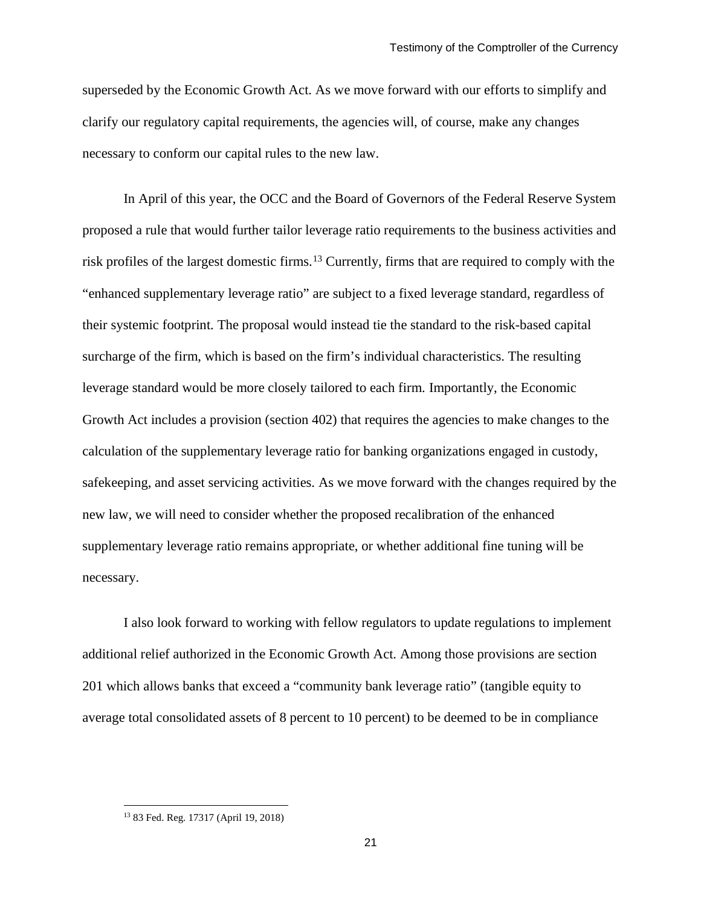superseded by the Economic Growth Act. As we move forward with our efforts to simplify and clarify our regulatory capital requirements, the agencies will, of course, make any changes necessary to conform our capital rules to the new law.

In April of this year, the OCC and the Board of Governors of the Federal Reserve System proposed a rule that would further tailor leverage ratio requirements to the business activities and risk profiles of the largest domestic firms.[13](#page-20-0) Currently, firms that are required to comply with the "enhanced supplementary leverage ratio" are subject to a fixed leverage standard, regardless of their systemic footprint. The proposal would instead tie the standard to the risk-based capital surcharge of the firm, which is based on the firm's individual characteristics. The resulting leverage standard would be more closely tailored to each firm. Importantly, the Economic Growth Act includes a provision (section 402) that requires the agencies to make changes to the calculation of the supplementary leverage ratio for banking organizations engaged in custody, safekeeping, and asset servicing activities. As we move forward with the changes required by the new law, we will need to consider whether the proposed recalibration of the enhanced supplementary leverage ratio remains appropriate, or whether additional fine tuning will be necessary.

I also look forward to working with fellow regulators to update regulations to implement additional relief authorized in the Economic Growth Act. Among those provisions are section 201 which allows banks that exceed a "community bank leverage ratio" (tangible equity to average total consolidated assets of 8 percent to 10 percent) to be deemed to be in compliance

<span id="page-20-0"></span> <sup>13</sup> 83 Fed. Reg. 17317 (April 19, 2018)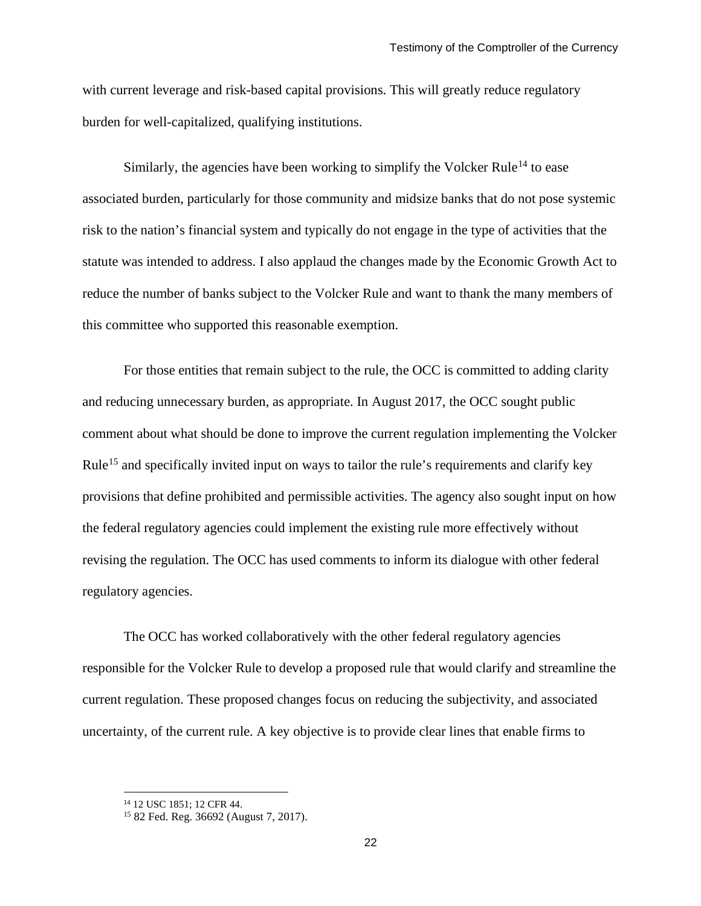with current leverage and risk-based capital provisions. This will greatly reduce regulatory burden for well-capitalized, qualifying institutions.

Similarly, the agencies have been working to simplify the Volcker Rule<sup>[14](#page-21-0)</sup> to ease associated burden, particularly for those community and midsize banks that do not pose systemic risk to the nation's financial system and typically do not engage in the type of activities that the statute was intended to address. I also applaud the changes made by the Economic Growth Act to reduce the number of banks subject to the Volcker Rule and want to thank the many members of this committee who supported this reasonable exemption.

For those entities that remain subject to the rule, the OCC is committed to adding clarity and reducing unnecessary burden, as appropriate. In August 2017, the OCC sought public comment about what should be done to improve the current regulation implementing the Volcker Rule<sup>[15](#page-21-1)</sup> and specifically invited input on ways to tailor the rule's requirements and clarify key provisions that define prohibited and permissible activities. The agency also sought input on how the federal regulatory agencies could implement the existing rule more effectively without revising the regulation. The OCC has used comments to inform its dialogue with other federal regulatory agencies.

The OCC has worked collaboratively with the other federal regulatory agencies responsible for the Volcker Rule to develop a proposed rule that would clarify and streamline the current regulation. These proposed changes focus on reducing the subjectivity, and associated uncertainty, of the current rule. A key objective is to provide clear lines that enable firms to

<span id="page-21-1"></span><span id="page-21-0"></span> <sup>14</sup> 12 USC 1851; 12 CFR 44.

<sup>15</sup> 82 Fed. Reg. 36692 (August 7, 2017).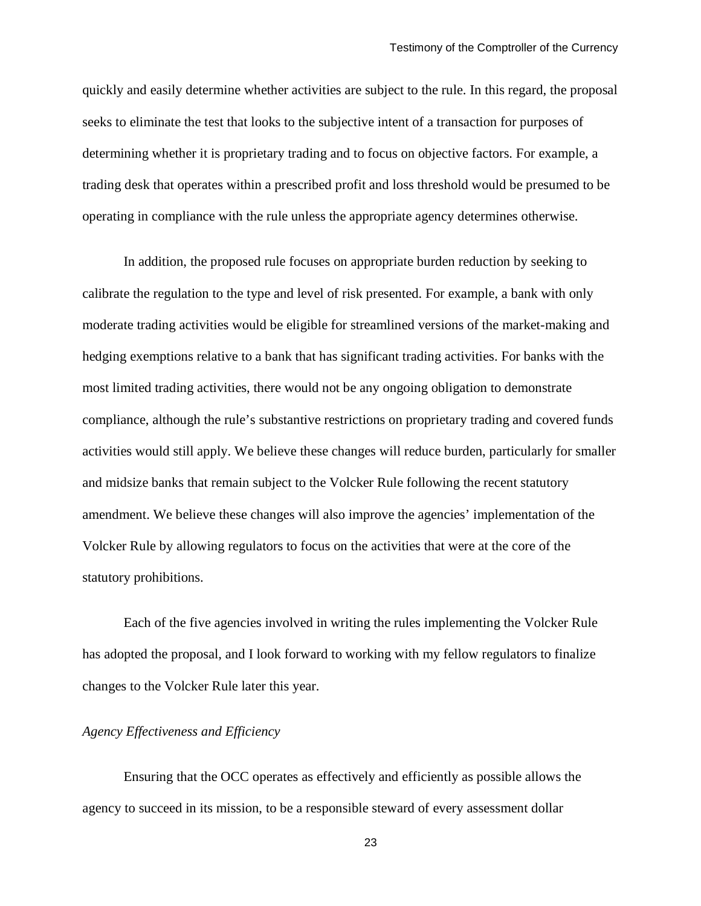quickly and easily determine whether activities are subject to the rule. In this regard, the proposal seeks to eliminate the test that looks to the subjective intent of a transaction for purposes of determining whether it is proprietary trading and to focus on objective factors. For example, a trading desk that operates within a prescribed profit and loss threshold would be presumed to be operating in compliance with the rule unless the appropriate agency determines otherwise.

In addition, the proposed rule focuses on appropriate burden reduction by seeking to calibrate the regulation to the type and level of risk presented. For example, a bank with only moderate trading activities would be eligible for streamlined versions of the market-making and hedging exemptions relative to a bank that has significant trading activities. For banks with the most limited trading activities, there would not be any ongoing obligation to demonstrate compliance, although the rule's substantive restrictions on proprietary trading and covered funds activities would still apply. We believe these changes will reduce burden, particularly for smaller and midsize banks that remain subject to the Volcker Rule following the recent statutory amendment. We believe these changes will also improve the agencies' implementation of the Volcker Rule by allowing regulators to focus on the activities that were at the core of the statutory prohibitions.

Each of the five agencies involved in writing the rules implementing the Volcker Rule has adopted the proposal, and I look forward to working with my fellow regulators to finalize changes to the Volcker Rule later this year.

## *Agency Effectiveness and Efficiency*

Ensuring that the OCC operates as effectively and efficiently as possible allows the agency to succeed in its mission, to be a responsible steward of every assessment dollar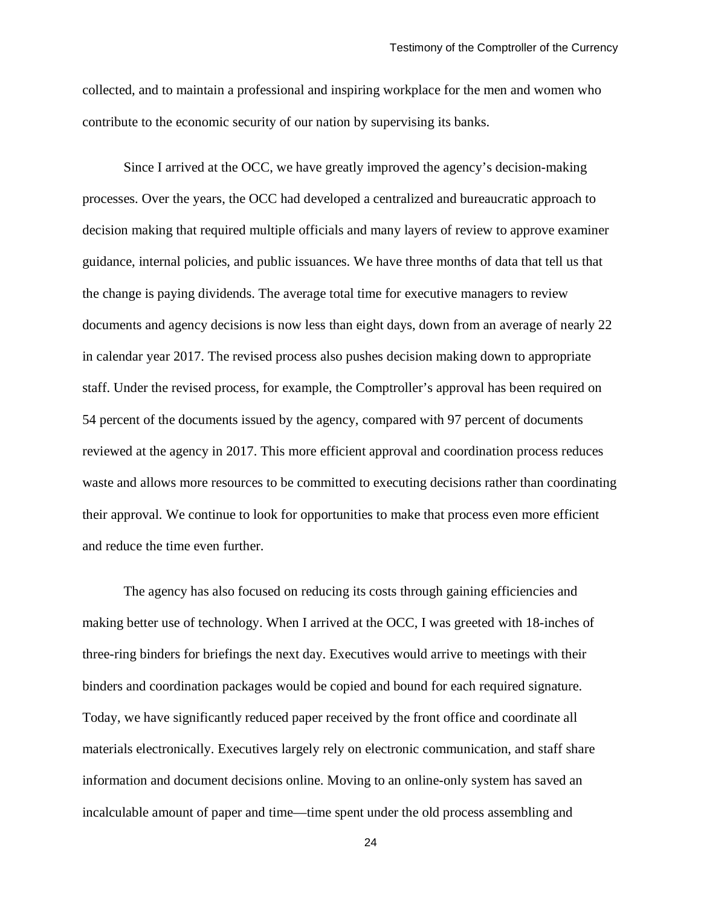collected, and to maintain a professional and inspiring workplace for the men and women who contribute to the economic security of our nation by supervising its banks.

Since I arrived at the OCC, we have greatly improved the agency's decision-making processes. Over the years, the OCC had developed a centralized and bureaucratic approach to decision making that required multiple officials and many layers of review to approve examiner guidance, internal policies, and public issuances. We have three months of data that tell us that the change is paying dividends. The average total time for executive managers to review documents and agency decisions is now less than eight days, down from an average of nearly 22 in calendar year 2017. The revised process also pushes decision making down to appropriate staff. Under the revised process, for example, the Comptroller's approval has been required on 54 percent of the documents issued by the agency, compared with 97 percent of documents reviewed at the agency in 2017. This more efficient approval and coordination process reduces waste and allows more resources to be committed to executing decisions rather than coordinating their approval. We continue to look for opportunities to make that process even more efficient and reduce the time even further.

The agency has also focused on reducing its costs through gaining efficiencies and making better use of technology. When I arrived at the OCC, I was greeted with 18-inches of three-ring binders for briefings the next day. Executives would arrive to meetings with their binders and coordination packages would be copied and bound for each required signature. Today, we have significantly reduced paper received by the front office and coordinate all materials electronically. Executives largely rely on electronic communication, and staff share information and document decisions online. Moving to an online-only system has saved an incalculable amount of paper and time—time spent under the old process assembling and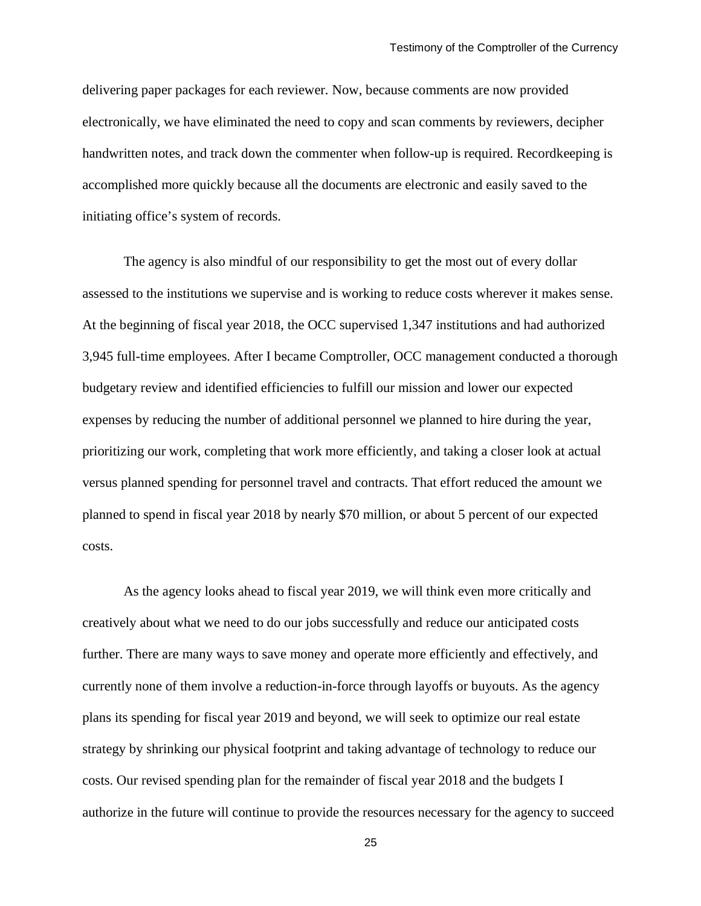delivering paper packages for each reviewer. Now, because comments are now provided electronically, we have eliminated the need to copy and scan comments by reviewers, decipher handwritten notes, and track down the commenter when follow-up is required. Recordkeeping is accomplished more quickly because all the documents are electronic and easily saved to the initiating office's system of records.

The agency is also mindful of our responsibility to get the most out of every dollar assessed to the institutions we supervise and is working to reduce costs wherever it makes sense. At the beginning of fiscal year 2018, the OCC supervised 1,347 institutions and had authorized 3,945 full-time employees. After I became Comptroller, OCC management conducted a thorough budgetary review and identified efficiencies to fulfill our mission and lower our expected expenses by reducing the number of additional personnel we planned to hire during the year, prioritizing our work, completing that work more efficiently, and taking a closer look at actual versus planned spending for personnel travel and contracts. That effort reduced the amount we planned to spend in fiscal year 2018 by nearly \$70 million, or about 5 percent of our expected costs.

As the agency looks ahead to fiscal year 2019, we will think even more critically and creatively about what we need to do our jobs successfully and reduce our anticipated costs further. There are many ways to save money and operate more efficiently and effectively, and currently none of them involve a reduction-in-force through layoffs or buyouts. As the agency plans its spending for fiscal year 2019 and beyond, we will seek to optimize our real estate strategy by shrinking our physical footprint and taking advantage of technology to reduce our costs. Our revised spending plan for the remainder of fiscal year 2018 and the budgets I authorize in the future will continue to provide the resources necessary for the agency to succeed